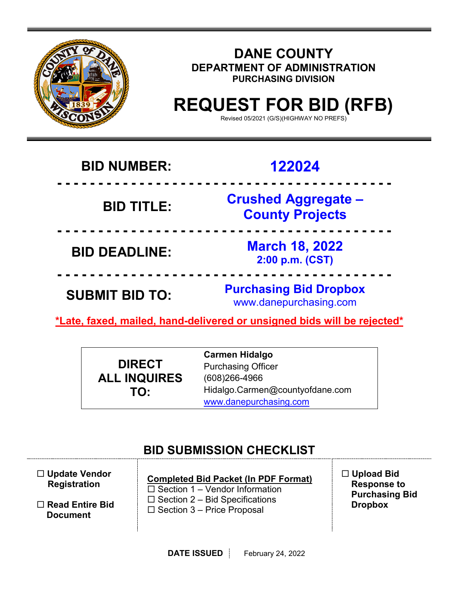

## **DANE COUNTY DEPARTMENT OF ADMINISTRATION PURCHASING DIVISION**

# **REQUEST FOR BID (RFB)**

Revised 05/2021 (G/S)(HIGHWAY NO PREFS)

## **BID NUMBER: 122024**

 **- - - - - - - - - - - - - - - - - - - - - - - - - - - - - - - - - - - - - - - - - BID TITLE: Crushed Aggregate – County Projects**

 **- - - - - - - - - - - - - - - - - - - - - - - - - - - - - - - - - - - - - - - - - BID DEADLINE: March 18, 2022 2:00 p.m. (CST)**

**SUBMIT BID TO: Purchasing Bid Dropbox** www.danepurchasing.com

**\*Late, faxed, mailed, hand-delivered or unsigned bids will be rejected\*** 

 **- - - - - - - - - - - - - - - - - - - - - - - - - - - - - - - - - - - - - - - - -**

|                     | <b>Carmen Hidalgo</b>           |
|---------------------|---------------------------------|
| <b>DIRECT</b>       | <b>Purchasing Officer</b>       |
| <b>ALL INQUIRES</b> | $(608)266 - 4966$               |
| TO:                 | Hidalgo.Carmen@countyofdane.com |
|                     | www.danepurchasing.com          |

## **BID SUBMISSION CHECKLIST**

| $\Box$ Update Vendor |
|----------------------|
| <b>Registration</b>  |

 **Read Entire Bid Document**

## **Completed Bid Packet (In PDF Format)**

 $\square$  Section 1 – Vendor Information  $\square$  Section 2 – Bid Specifications  $\square$  Section 3 – Price Proposal

 **Upload Bid Response to Purchasing Bid Dropbox**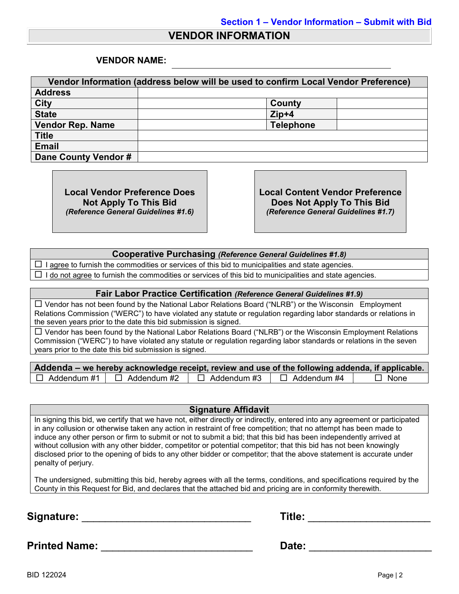### **VENDOR INFORMATION**

#### **VENDOR NAME:**

| Vendor Information (address below will be used to confirm Local Vendor Preference) |                  |  |
|------------------------------------------------------------------------------------|------------------|--|
| <b>Address</b>                                                                     |                  |  |
| <b>City</b>                                                                        | County           |  |
| <b>State</b>                                                                       | $Zip+4$          |  |
| <b>Vendor Rep. Name</b>                                                            | <b>Telephone</b> |  |
| <b>Title</b>                                                                       |                  |  |
| <b>Email</b>                                                                       |                  |  |
| Dane County Vendor #                                                               |                  |  |

**Local Vendor Preference Does Not Apply To This Bid** *(Reference General Guidelines #1.6)* **Local Content Vendor Preference Does Not Apply To This Bid** *(Reference General Guidelines #1.7)*

#### **Cooperative Purchasing** *(Reference General Guidelines #1.8)*

 $\Box$  I agree to furnish the commodities or services of this bid to municipalities and state agencies.

 $\Box$  I do not agree to furnish the commodities or services of this bid to municipalities and state agencies.

#### **Fair Labor Practice Certification** *(Reference General Guidelines #1.9)*

 $\Box$  Vendor has not been found by the National Labor Relations Board ("NLRB") or the Wisconsin Employment Relations Commission ("WERC") to have violated any statute or regulation regarding labor standards or relations in the seven years prior to the date this bid submission is signed.

 $\Box$  Vendor has been found by the National Labor Relations Board ("NLRB") or the Wisconsin Employment Relations Commission ("WERC") to have violated any statute or regulation regarding labor standards or relations in the seven years prior to the date this bid submission is signed.

| Addenda – we hereby acknowledge receipt, review and use of the following addenda, if applicable. |                    |               |                    |             |
|--------------------------------------------------------------------------------------------------|--------------------|---------------|--------------------|-------------|
| $\Box$ Addendum #1                                                                               | $\Box$ Addendum #2 | コ Addendum #3 | $\Box$ Addendum #4 | $\Box$ None |

#### **Signature Affidavit**

In signing this bid, we certify that we have not, either directly or indirectly, entered into any agreement or participated in any collusion or otherwise taken any action in restraint of free competition; that no attempt has been made to induce any other person or firm to submit or not to submit a bid; that this bid has been independently arrived at without collusion with any other bidder, competitor or potential competitor; that this bid has not been knowingly disclosed prior to the opening of bids to any other bidder or competitor; that the above statement is accurate under penalty of perjury.

The undersigned, submitting this bid, hereby agrees with all the terms, conditions, and specifications required by the County in this Request for Bid, and declares that the attached bid and pricing are in conformity therewith.

**Signature:** \_\_\_\_\_\_\_\_\_\_\_\_\_\_\_\_\_\_\_\_\_\_\_\_\_\_\_\_\_ **Title:** \_\_\_\_\_\_\_\_\_\_\_\_\_\_\_\_\_\_\_\_\_

**Printed Name:** \_\_\_\_\_\_\_\_\_\_\_\_\_\_\_\_\_\_\_\_\_\_\_\_\_\_ **Date:** \_\_\_\_\_\_\_\_\_\_\_\_\_\_\_\_\_\_\_\_\_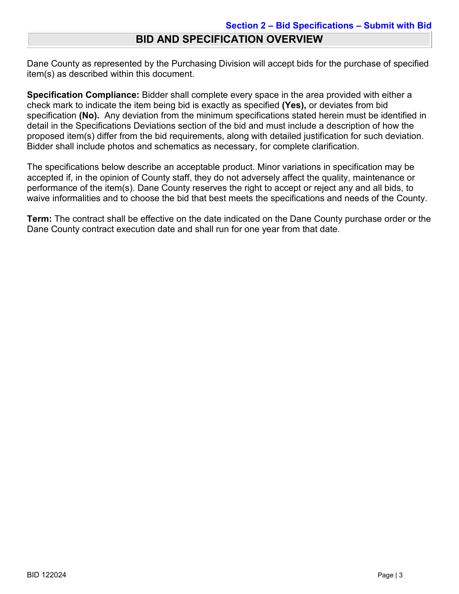## **BID AND SPECIFICATION OVERVIEW**

Dane County as represented by the Purchasing Division will accept bids for the purchase of specified item(s) as described within this document.

**Specification Compliance:** Bidder shall complete every space in the area provided with either a check mark to indicate the item being bid is exactly as specified **(Yes),** or deviates from bid specification **(No).** Any deviation from the minimum specifications stated herein must be identified in detail in the Specifications Deviations section of the bid and must include a description of how the proposed item(s) differ from the bid requirements, along with detailed justification for such deviation. Bidder shall include photos and schematics as necessary, for complete clarification.

The specifications below describe an acceptable product. Minor variations in specification may be accepted if, in the opinion of County staff, they do not adversely affect the quality, maintenance or performance of the item(s). Dane County reserves the right to accept or reject any and all bids, to waive informalities and to choose the bid that best meets the specifications and needs of the County.

**Term:** The contract shall be effective on the date indicated on the Dane County purchase order or the Dane County contract execution date and shall run for one year from that date.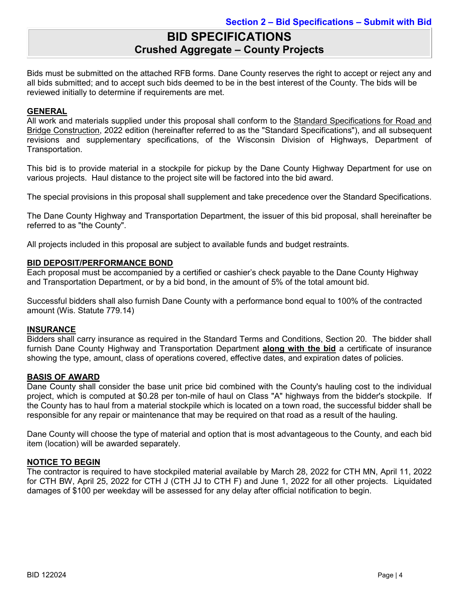## **BID SPECIFICATIONS Crushed Aggregate – County Projects**

Bids must be submitted on the attached RFB forms. Dane County reserves the right to accept or reject any and all bids submitted; and to accept such bids deemed to be in the best interest of the County. The bids will be reviewed initially to determine if requirements are met.

#### **GENERAL**

All work and materials supplied under this proposal shall conform to the Standard Specifications for Road and Bridge Construction, 2022 edition (hereinafter referred to as the "Standard Specifications"), and all subsequent revisions and supplementary specifications, of the Wisconsin Division of Highways, Department of Transportation.

This bid is to provide material in a stockpile for pickup by the Dane County Highway Department for use on various projects. Haul distance to the project site will be factored into the bid award.

The special provisions in this proposal shall supplement and take precedence over the Standard Specifications.

The Dane County Highway and Transportation Department, the issuer of this bid proposal, shall hereinafter be referred to as "the County".

All projects included in this proposal are subject to available funds and budget restraints.

#### **BID DEPOSIT/PERFORMANCE BOND**

Each proposal must be accompanied by a certified or cashier's check payable to the Dane County Highway and Transportation Department, or by a bid bond, in the amount of 5% of the total amount bid.

Successful bidders shall also furnish Dane County with a performance bond equal to 100% of the contracted amount (Wis. Statute 779.14)

#### **INSURANCE**

Bidders shall carry insurance as required in the Standard Terms and Conditions, Section 20. The bidder shall furnish Dane County Highway and Transportation Department **along with the bid** a certificate of insurance showing the type, amount, class of operations covered, effective dates, and expiration dates of policies.

#### **BASIS OF AWARD**

Dane County shall consider the base unit price bid combined with the County's hauling cost to the individual project, which is computed at \$0.28 per ton-mile of haul on Class "A" highways from the bidder's stockpile. If the County has to haul from a material stockpile which is located on a town road, the successful bidder shall be responsible for any repair or maintenance that may be required on that road as a result of the hauling.

Dane County will choose the type of material and option that is most advantageous to the County, and each bid item (location) will be awarded separately.

#### **NOTICE TO BEGIN**

The contractor is required to have stockpiled material available by March 28, 2022 for CTH MN, April 11, 2022 for CTH BW, April 25, 2022 for CTH J (CTH JJ to CTH F) and June 1, 2022 for all other projects. Liquidated damages of \$100 per weekday will be assessed for any delay after official notification to begin.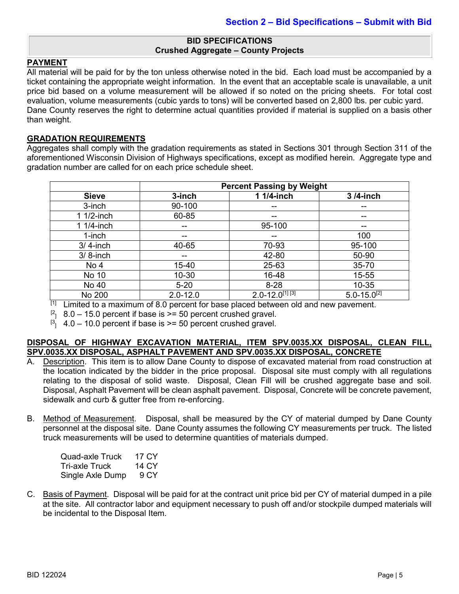#### **BID SPECIFICATIONS Crushed Aggregate – County Projects**

#### **PAYMENT**

All material will be paid for by the ton unless otherwise noted in the bid. Each load must be accompanied by a ticket containing the appropriate weight information. In the event that an acceptable scale is unavailable, a unit price bid based on a volume measurement will be allowed if so noted on the pricing sheets. For total cost evaluation, volume measurements (cubic yards to tons) will be converted based on 2,800 lbs. per cubic yard. Dane County reserves the right to determine actual quantities provided if material is supplied on a basis other than weight.

#### **GRADATION REQUIREMENTS**

Aggregates shall comply with the gradation requirements as stated in Sections 301 through Section 311 of the aforementioned Wisconsin Division of Highways specifications, except as modified herein. Aggregate type and gradation number are called for on each price schedule sheet.

|              | <b>Percent Passing by Weight</b> |                               |                    |
|--------------|----------------------------------|-------------------------------|--------------------|
| <b>Sieve</b> | 3-inch                           | 1 1/4-inch                    | 3/4-inch           |
| 3-inch       | 90-100                           | --                            |                    |
| 1 1/2-inch   | 60-85                            | --                            |                    |
| 1 1/4-inch   |                                  | 95-100                        |                    |
| 1-inch       |                                  | --                            | 100                |
| $3/4$ -inch  | 40-65                            | 70-93                         | 95-100             |
| $3/8$ -inch  | --                               | 42-80                         | 50-90              |
| No 4         | 15-40                            | 25-63                         | 35-70              |
| No 10        | $10 - 30$                        | 16-48                         | 15-55              |
| No 40        | $5 - 20$                         | $8 - 28$                      | $10 - 35$          |
| No 200       | $2.0 - 12.0$                     | $2.0 - 12.0^{[1]}\sqrt[3]{ }$ | $5.0 - 15.0^{[2]}$ |

 $[1]$  Limited to a maximum of 8.0 percent for base placed between old and new pavement.

 $\begin{bmatrix} 2 \\ 1 \end{bmatrix}$  8.0 – 15.0 percent if base is  $\ge$  = 50 percent crushed gravel.

 $[3, 4.0 - 10.0$  percent if base is  $>= 50$  percent crushed gravel.

#### **DISPOSAL OF HIGHWAY EXCAVATION MATERIAL, ITEM SPV.0035.XX DISPOSAL, CLEAN FILL, SPV.0035.XX DISPOSAL, ASPHALT PAVEMENT AND SPV.0035.XX DISPOSAL, CONCRETE**

- A. Description. This item is to allow Dane County to dispose of excavated material from road construction at the location indicated by the bidder in the price proposal. Disposal site must comply with all regulations relating to the disposal of solid waste. Disposal, Clean Fill will be crushed aggregate base and soil. Disposal, Asphalt Pavement will be clean asphalt pavement. Disposal, Concrete will be concrete pavement, sidewalk and curb & gutter free from re-enforcing.
- B. Method of Measurement. Disposal, shall be measured by the CY of material dumped by Dane County personnel at the disposal site. Dane County assumes the following CY measurements per truck. The listed truck measurements will be used to determine quantities of materials dumped.

| Quad-axle Truck  | 17 CY |
|------------------|-------|
| Tri-axle Truck_  | 14 CY |
| Single Axle Dump | 9 CY  |

C. Basis of Payment. Disposal will be paid for at the contract unit price bid per CY of material dumped in a pile at the site. All contractor labor and equipment necessary to push off and/or stockpile dumped materials will be incidental to the Disposal Item.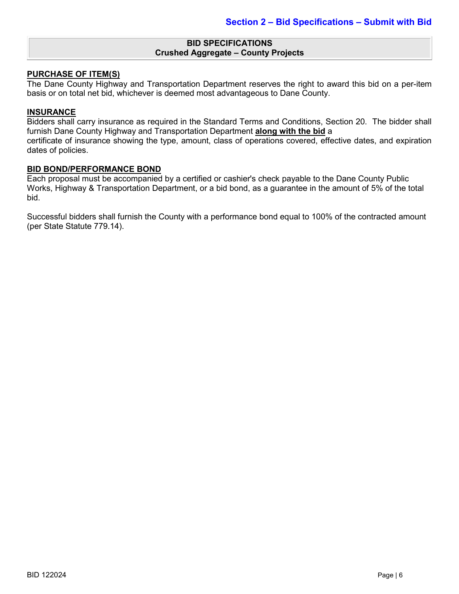#### **BID SPECIFICATIONS Crushed Aggregate – County Projects**

#### **PURCHASE OF ITEM(S)**

The Dane County Highway and Transportation Department reserves the right to award this bid on a per-item basis or on total net bid, whichever is deemed most advantageous to Dane County.

#### **INSURANCE**

Bidders shall carry insurance as required in the Standard Terms and Conditions, Section 20. The bidder shall furnish Dane County Highway and Transportation Department **along with the bid** a certificate of insurance showing the type, amount, class of operations covered, effective dates, and expiration dates of policies.

#### **BID BOND/PERFORMANCE BOND**

Each proposal must be accompanied by a certified or cashier's check payable to the Dane County Public Works, Highway & Transportation Department, or a bid bond, as a guarantee in the amount of 5% of the total bid.

Successful bidders shall furnish the County with a performance bond equal to 100% of the contracted amount (per State Statute 779.14).